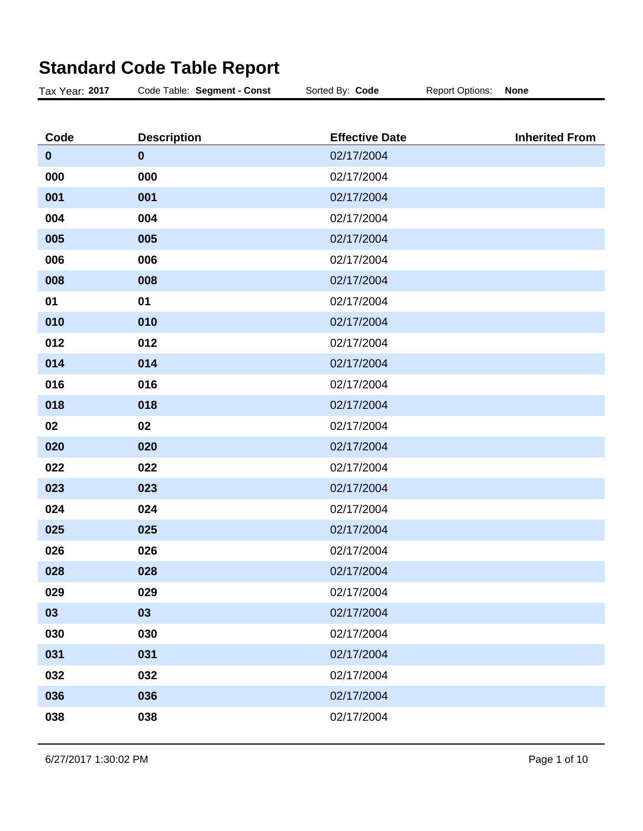| Tax Year: 2017 | Code Table: Segment - Const | Sorted By: Code       | <b>Report Options:</b> | <b>None</b>           |
|----------------|-----------------------------|-----------------------|------------------------|-----------------------|
|                |                             |                       |                        |                       |
| Code           | <b>Description</b>          | <b>Effective Date</b> |                        | <b>Inherited From</b> |
| $\mathbf 0$    | $\mathbf 0$                 | 02/17/2004            |                        |                       |
| 000            | 000                         | 02/17/2004            |                        |                       |
| 001            | 001                         | 02/17/2004            |                        |                       |
| 004            | 004                         | 02/17/2004            |                        |                       |
| 005            | 005                         | 02/17/2004            |                        |                       |
| 006            | 006                         | 02/17/2004            |                        |                       |
| 008            | 008                         | 02/17/2004            |                        |                       |
| 01             | 01                          | 02/17/2004            |                        |                       |
| 010            | 010                         | 02/17/2004            |                        |                       |
| 012            | 012                         | 02/17/2004            |                        |                       |
| 014            | 014                         | 02/17/2004            |                        |                       |
| 016            | 016                         | 02/17/2004            |                        |                       |
| 018            | 018                         | 02/17/2004            |                        |                       |
| 02             | 02                          | 02/17/2004            |                        |                       |
| 020            | 020                         | 02/17/2004            |                        |                       |
| 022            | 022                         | 02/17/2004            |                        |                       |
| 023            | 023                         | 02/17/2004            |                        |                       |
| 024            | 024                         | 02/17/2004            |                        |                       |
| 025            | 025                         | 02/17/2004            |                        |                       |
| 026            | 026                         | 02/17/2004            |                        |                       |
| 028            | 028                         | 02/17/2004            |                        |                       |
| 029            | 029                         | 02/17/2004            |                        |                       |
| 03             | 03                          | 02/17/2004            |                        |                       |
| 030            | 030                         | 02/17/2004            |                        |                       |
| 031            | 031                         | 02/17/2004            |                        |                       |
| 032            | 032                         | 02/17/2004            |                        |                       |
| 036            | 036                         | 02/17/2004            |                        |                       |
| 038            | 038                         | 02/17/2004            |                        |                       |

## **Standard Code Table Report**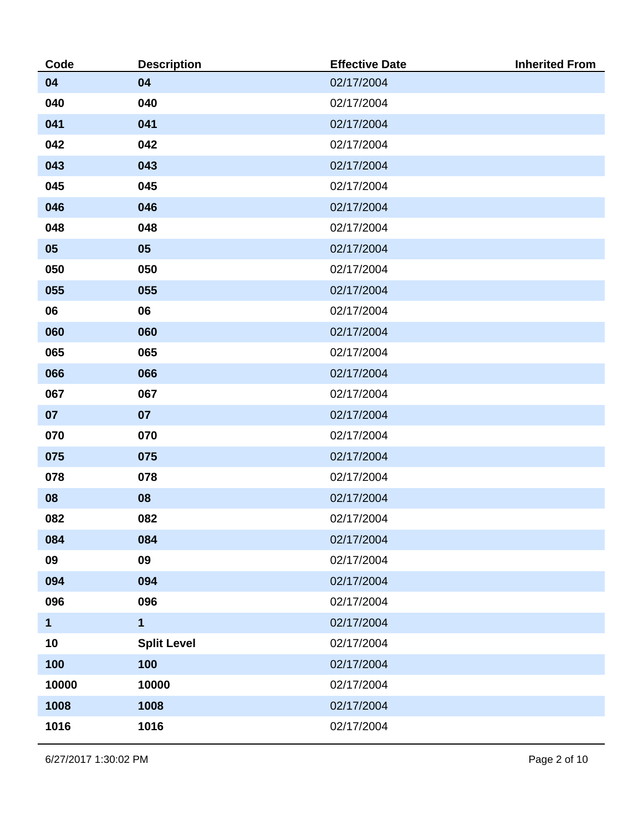| Code         | <b>Description</b> | <b>Effective Date</b> | <b>Inherited From</b> |
|--------------|--------------------|-----------------------|-----------------------|
| 04           | 04                 | 02/17/2004            |                       |
| 040          | 040                | 02/17/2004            |                       |
| 041          | 041                | 02/17/2004            |                       |
| 042          | 042                | 02/17/2004            |                       |
| 043          | 043                | 02/17/2004            |                       |
| 045          | 045                | 02/17/2004            |                       |
| 046          | 046                | 02/17/2004            |                       |
| 048          | 048                | 02/17/2004            |                       |
| 05           | 05                 | 02/17/2004            |                       |
| 050          | 050                | 02/17/2004            |                       |
| 055          | 055                | 02/17/2004            |                       |
| 06           | 06                 | 02/17/2004            |                       |
| 060          | 060                | 02/17/2004            |                       |
| 065          | 065                | 02/17/2004            |                       |
| 066          | 066                | 02/17/2004            |                       |
| 067          | 067                | 02/17/2004            |                       |
| 07           | 07                 | 02/17/2004            |                       |
| 070          | 070                | 02/17/2004            |                       |
| 075          | 075                | 02/17/2004            |                       |
| 078          | 078                | 02/17/2004            |                       |
| 08           | 08                 | 02/17/2004            |                       |
| 082          | 082                | 02/17/2004            |                       |
| 084          | 084                | 02/17/2004            |                       |
| 09           | 09                 | 02/17/2004            |                       |
| 094          | 094                | 02/17/2004            |                       |
| 096          | 096                | 02/17/2004            |                       |
| $\mathbf{1}$ | $\mathbf{1}$       | 02/17/2004            |                       |
| 10           | <b>Split Level</b> | 02/17/2004            |                       |
| 100          | 100                | 02/17/2004            |                       |
| 10000        | 10000              | 02/17/2004            |                       |
| 1008         | 1008               | 02/17/2004            |                       |
| 1016         | 1016               | 02/17/2004            |                       |

6/27/2017 1:30:02 PM Page 2 of 10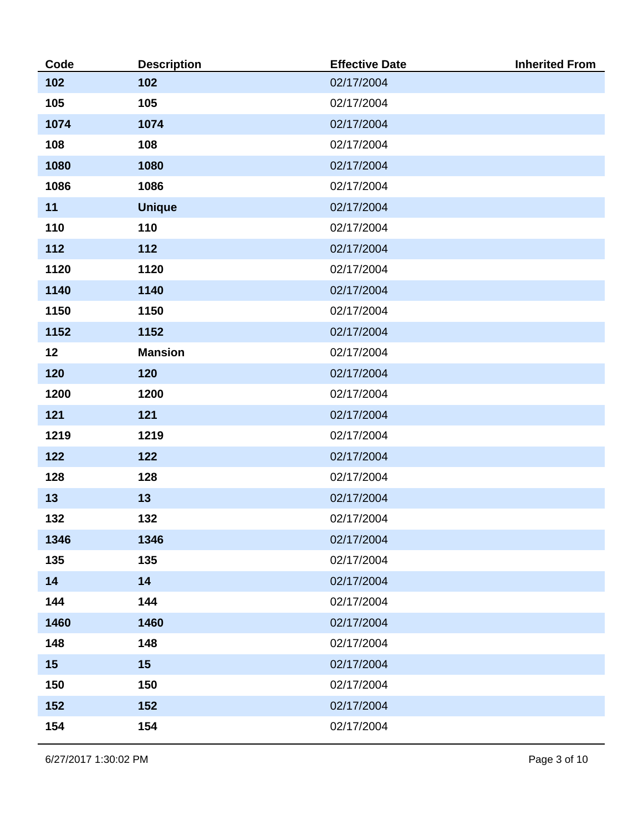| Code | <b>Description</b> | <b>Effective Date</b> | <b>Inherited From</b> |
|------|--------------------|-----------------------|-----------------------|
| 102  | 102                | 02/17/2004            |                       |
| 105  | 105                | 02/17/2004            |                       |
| 1074 | 1074               | 02/17/2004            |                       |
| 108  | 108                | 02/17/2004            |                       |
| 1080 | 1080               | 02/17/2004            |                       |
| 1086 | 1086               | 02/17/2004            |                       |
| 11   | <b>Unique</b>      | 02/17/2004            |                       |
| 110  | 110                | 02/17/2004            |                       |
| 112  | 112                | 02/17/2004            |                       |
| 1120 | 1120               | 02/17/2004            |                       |
| 1140 | 1140               | 02/17/2004            |                       |
| 1150 | 1150               | 02/17/2004            |                       |
| 1152 | 1152               | 02/17/2004            |                       |
| 12   | <b>Mansion</b>     | 02/17/2004            |                       |
| 120  | 120                | 02/17/2004            |                       |
| 1200 | 1200               | 02/17/2004            |                       |
| 121  | 121                | 02/17/2004            |                       |
| 1219 | 1219               | 02/17/2004            |                       |
| 122  | 122                | 02/17/2004            |                       |
| 128  | 128                | 02/17/2004            |                       |
| 13   | 13                 | 02/17/2004            |                       |
| 132  | 132                | 02/17/2004            |                       |
| 1346 | 1346               | 02/17/2004            |                       |
| 135  | 135                | 02/17/2004            |                       |
| 14   | 14                 | 02/17/2004            |                       |
| 144  | 144                | 02/17/2004            |                       |
| 1460 | 1460               | 02/17/2004            |                       |
| 148  | 148                | 02/17/2004            |                       |
| 15   | 15                 | 02/17/2004            |                       |
| 150  | 150                | 02/17/2004            |                       |
| 152  | 152                | 02/17/2004            |                       |
| 154  | 154                | 02/17/2004            |                       |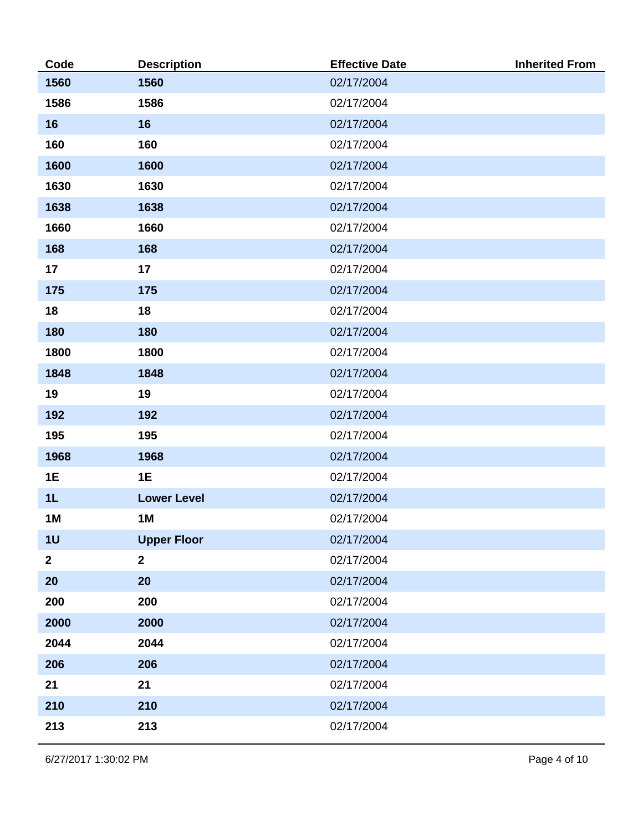| Code           | <b>Description</b> | <b>Effective Date</b> | <b>Inherited From</b> |
|----------------|--------------------|-----------------------|-----------------------|
| 1560           | 1560               | 02/17/2004            |                       |
| 1586           | 1586               | 02/17/2004            |                       |
| 16             | 16                 | 02/17/2004            |                       |
| 160            | 160                | 02/17/2004            |                       |
| 1600           | 1600               | 02/17/2004            |                       |
| 1630           | 1630               | 02/17/2004            |                       |
| 1638           | 1638               | 02/17/2004            |                       |
| 1660           | 1660               | 02/17/2004            |                       |
| 168            | 168                | 02/17/2004            |                       |
| 17             | 17                 | 02/17/2004            |                       |
| 175            | 175                | 02/17/2004            |                       |
| 18             | 18                 | 02/17/2004            |                       |
| 180            | 180                | 02/17/2004            |                       |
| 1800           | 1800               | 02/17/2004            |                       |
| 1848           | 1848               | 02/17/2004            |                       |
| 19             | 19                 | 02/17/2004            |                       |
| 192            | 192                | 02/17/2004            |                       |
| 195            | 195                | 02/17/2004            |                       |
| 1968           | 1968               | 02/17/2004            |                       |
| 1E             | 1E                 | 02/17/2004            |                       |
| 1L             | <b>Lower Level</b> | 02/17/2004            |                       |
| <b>1M</b>      | 1M                 | 02/17/2004            |                       |
| 1 <sub>U</sub> | <b>Upper Floor</b> | 02/17/2004            |                       |
| 2 <sup>1</sup> | $\overline{2}$     | 02/17/2004            |                       |
| 20             | 20                 | 02/17/2004            |                       |
| 200            | 200                | 02/17/2004            |                       |
| 2000           | 2000               | 02/17/2004            |                       |
| 2044           | 2044               | 02/17/2004            |                       |
| 206            | 206                | 02/17/2004            |                       |
| 21             | 21                 | 02/17/2004            |                       |
| 210            | 210                | 02/17/2004            |                       |
| 213            | 213                | 02/17/2004            |                       |

6/27/2017 1:30:02 PM Page 4 of 10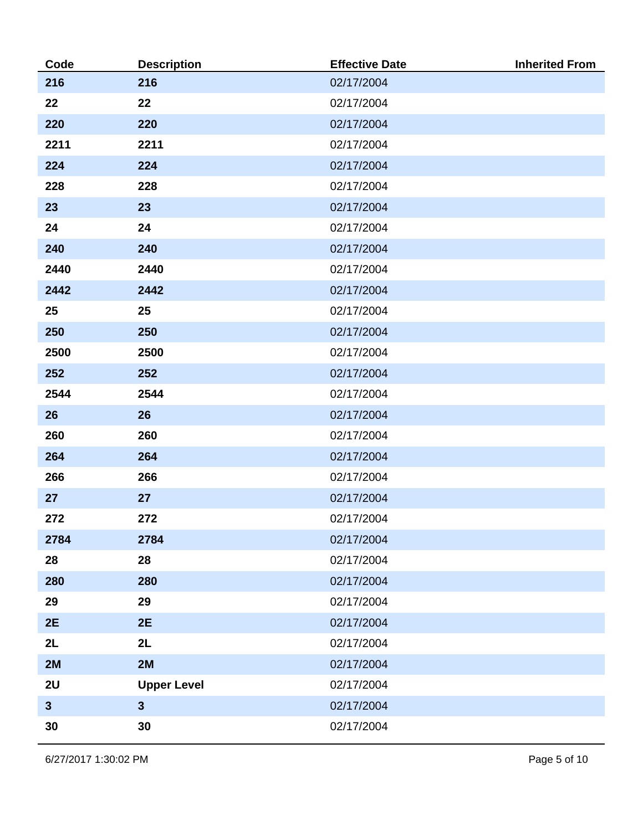| Code         | <b>Description</b> | <b>Effective Date</b> | <b>Inherited From</b> |
|--------------|--------------------|-----------------------|-----------------------|
| 216          | 216                | 02/17/2004            |                       |
| 22           | 22                 | 02/17/2004            |                       |
| 220          | 220                | 02/17/2004            |                       |
| 2211         | 2211               | 02/17/2004            |                       |
| 224          | 224                | 02/17/2004            |                       |
| 228          | 228                | 02/17/2004            |                       |
| 23           | 23                 | 02/17/2004            |                       |
| 24           | 24                 | 02/17/2004            |                       |
| 240          | 240                | 02/17/2004            |                       |
| 2440         | 2440               | 02/17/2004            |                       |
| 2442         | 2442               | 02/17/2004            |                       |
| 25           | 25                 | 02/17/2004            |                       |
| 250          | 250                | 02/17/2004            |                       |
| 2500         | 2500               | 02/17/2004            |                       |
| 252          | 252                | 02/17/2004            |                       |
| 2544         | 2544               | 02/17/2004            |                       |
| 26           | 26                 | 02/17/2004            |                       |
| 260          | 260                | 02/17/2004            |                       |
| 264          | 264                | 02/17/2004            |                       |
| 266          | 266                | 02/17/2004            |                       |
| 27           | 27                 | 02/17/2004            |                       |
| 272          | 272                | 02/17/2004            |                       |
| 2784         | 2784               | 02/17/2004            |                       |
| 28           | 28                 | 02/17/2004            |                       |
| 280          | 280                | 02/17/2004            |                       |
| 29           | 29                 | 02/17/2004            |                       |
| 2E           | 2E                 | 02/17/2004            |                       |
| 2L           | 2L                 | 02/17/2004            |                       |
| 2M           | 2M                 | 02/17/2004            |                       |
| 2U           | <b>Upper Level</b> | 02/17/2004            |                       |
| $\mathbf{3}$ | $\mathbf{3}$       | 02/17/2004            |                       |
| 30           | 30                 | 02/17/2004            |                       |

6/27/2017 1:30:02 PM Page 5 of 10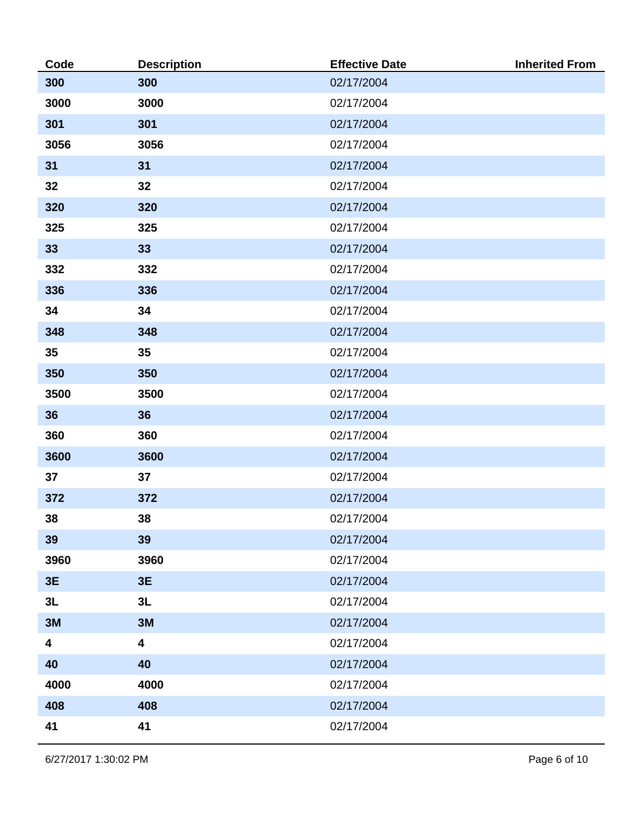| Code | <b>Description</b> | <b>Effective Date</b> | <b>Inherited From</b> |
|------|--------------------|-----------------------|-----------------------|
| 300  | 300                | 02/17/2004            |                       |
| 3000 | 3000               | 02/17/2004            |                       |
| 301  | 301                | 02/17/2004            |                       |
| 3056 | 3056               | 02/17/2004            |                       |
| 31   | 31                 | 02/17/2004            |                       |
| 32   | 32                 | 02/17/2004            |                       |
| 320  | 320                | 02/17/2004            |                       |
| 325  | 325                | 02/17/2004            |                       |
| 33   | 33                 | 02/17/2004            |                       |
| 332  | 332                | 02/17/2004            |                       |
| 336  | 336                | 02/17/2004            |                       |
| 34   | 34                 | 02/17/2004            |                       |
| 348  | 348                | 02/17/2004            |                       |
| 35   | 35                 | 02/17/2004            |                       |
| 350  | 350                | 02/17/2004            |                       |
| 3500 | 3500               | 02/17/2004            |                       |
| 36   | 36                 | 02/17/2004            |                       |
| 360  | 360                | 02/17/2004            |                       |
| 3600 | 3600               | 02/17/2004            |                       |
| 37   | 37                 | 02/17/2004            |                       |
| 372  | 372                | 02/17/2004            |                       |
| 38   | 38                 | 02/17/2004            |                       |
| 39   | 39                 | 02/17/2004            |                       |
| 3960 | 3960               | 02/17/2004            |                       |
| 3E   | 3E                 | 02/17/2004            |                       |
| 3L   | 3L                 | 02/17/2004            |                       |
| 3M   | 3M                 | 02/17/2004            |                       |
| 4    | 4                  | 02/17/2004            |                       |
| 40   | 40                 | 02/17/2004            |                       |
| 4000 | 4000               | 02/17/2004            |                       |
| 408  | 408                | 02/17/2004            |                       |
| 41   | 41                 | 02/17/2004            |                       |

6/27/2017 1:30:02 PM Page 6 of 10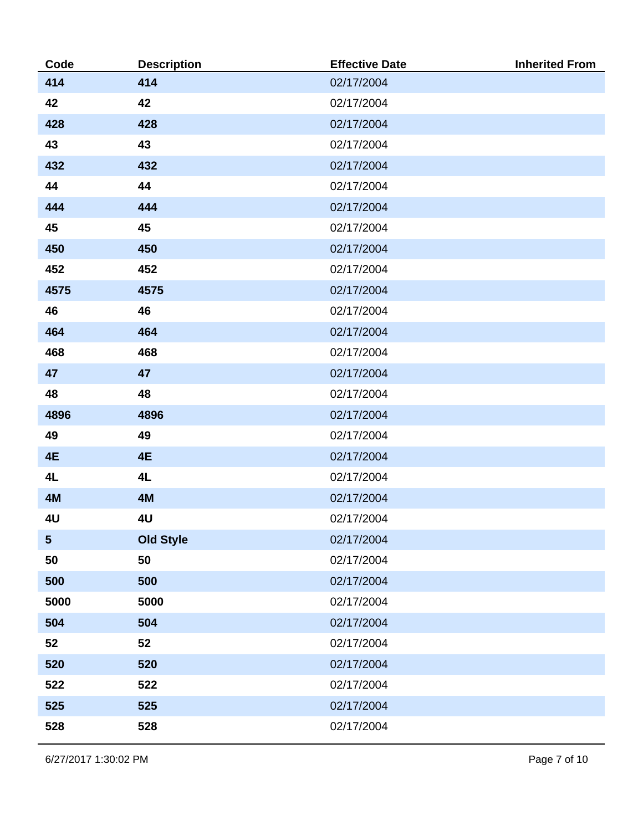| Code                    | <b>Description</b> | <b>Effective Date</b> | <b>Inherited From</b> |
|-------------------------|--------------------|-----------------------|-----------------------|
| 414                     | 414                | 02/17/2004            |                       |
| 42                      | 42                 | 02/17/2004            |                       |
| 428                     | 428                | 02/17/2004            |                       |
| 43                      | 43                 | 02/17/2004            |                       |
| 432                     | 432                | 02/17/2004            |                       |
| 44                      | 44                 | 02/17/2004            |                       |
| 444                     | 444                | 02/17/2004            |                       |
| 45                      | 45                 | 02/17/2004            |                       |
| 450                     | 450                | 02/17/2004            |                       |
| 452                     | 452                | 02/17/2004            |                       |
| 4575                    | 4575               | 02/17/2004            |                       |
| 46                      | 46                 | 02/17/2004            |                       |
| 464                     | 464                | 02/17/2004            |                       |
| 468                     | 468                | 02/17/2004            |                       |
| 47                      | 47                 | 02/17/2004            |                       |
| 48                      | 48                 | 02/17/2004            |                       |
| 4896                    | 4896               | 02/17/2004            |                       |
| 49                      | 49                 | 02/17/2004            |                       |
| 4E                      | 4E                 | 02/17/2004            |                       |
| 4L                      | 4L                 | 02/17/2004            |                       |
| 4M                      | 4M                 | 02/17/2004            |                       |
| 4U                      | 4U                 | 02/17/2004            |                       |
| $\overline{\mathbf{5}}$ | <b>Old Style</b>   | 02/17/2004            |                       |
| 50                      | 50                 | 02/17/2004            |                       |
| 500                     | 500                | 02/17/2004            |                       |
| 5000                    | 5000               | 02/17/2004            |                       |
| 504                     | 504                | 02/17/2004            |                       |
| 52                      | 52                 | 02/17/2004            |                       |
| 520                     | 520                | 02/17/2004            |                       |
| 522                     | 522                | 02/17/2004            |                       |
| 525                     | 525                | 02/17/2004            |                       |
| 528                     | 528                | 02/17/2004            |                       |

6/27/2017 1:30:02 PM Page 7 of 10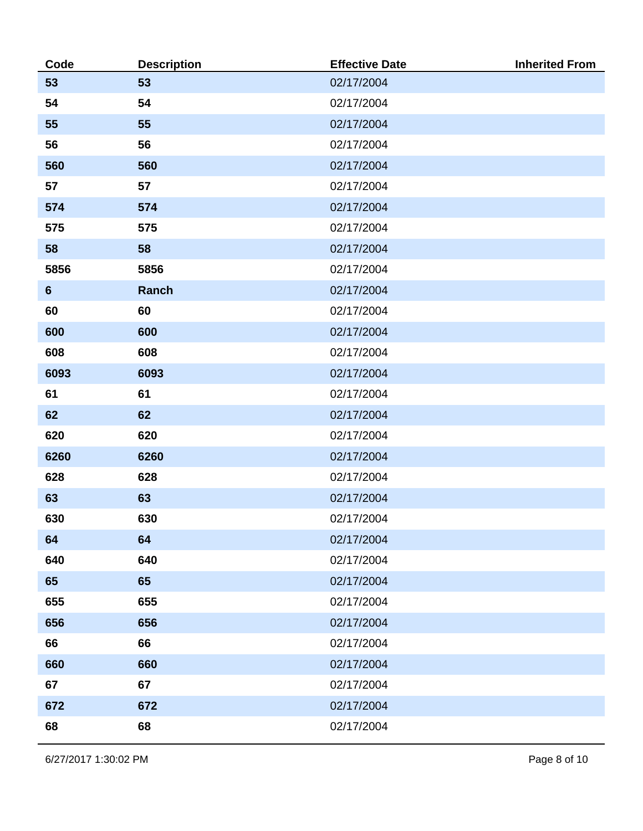| Code           | <b>Description</b> | <b>Effective Date</b> | <b>Inherited From</b> |
|----------------|--------------------|-----------------------|-----------------------|
| 53             | 53                 | 02/17/2004            |                       |
| 54             | 54                 | 02/17/2004            |                       |
| 55             | 55                 | 02/17/2004            |                       |
| 56             | 56                 | 02/17/2004            |                       |
| 560            | 560                | 02/17/2004            |                       |
| 57             | 57                 | 02/17/2004            |                       |
| 574            | 574                | 02/17/2004            |                       |
| 575            | 575                | 02/17/2004            |                       |
| 58             | 58                 | 02/17/2004            |                       |
| 5856           | 5856               | 02/17/2004            |                       |
| $6\phantom{1}$ | Ranch              | 02/17/2004            |                       |
| 60             | 60                 | 02/17/2004            |                       |
| 600            | 600                | 02/17/2004            |                       |
| 608            | 608                | 02/17/2004            |                       |
| 6093           | 6093               | 02/17/2004            |                       |
| 61             | 61                 | 02/17/2004            |                       |
| 62             | 62                 | 02/17/2004            |                       |
| 620            | 620                | 02/17/2004            |                       |
| 6260           | 6260               | 02/17/2004            |                       |
| 628            | 628                | 02/17/2004            |                       |
| 63             | 63                 | 02/17/2004            |                       |
| 630            | 630                | 02/17/2004            |                       |
| 64             | 64                 | 02/17/2004            |                       |
| 640            | 640                | 02/17/2004            |                       |
| 65             | 65                 | 02/17/2004            |                       |
| 655            | 655                | 02/17/2004            |                       |
| 656            | 656                | 02/17/2004            |                       |
| 66             | 66                 | 02/17/2004            |                       |
| 660            | 660                | 02/17/2004            |                       |
| 67             | 67                 | 02/17/2004            |                       |
| 672            | 672                | 02/17/2004            |                       |
| 68             | 68                 | 02/17/2004            |                       |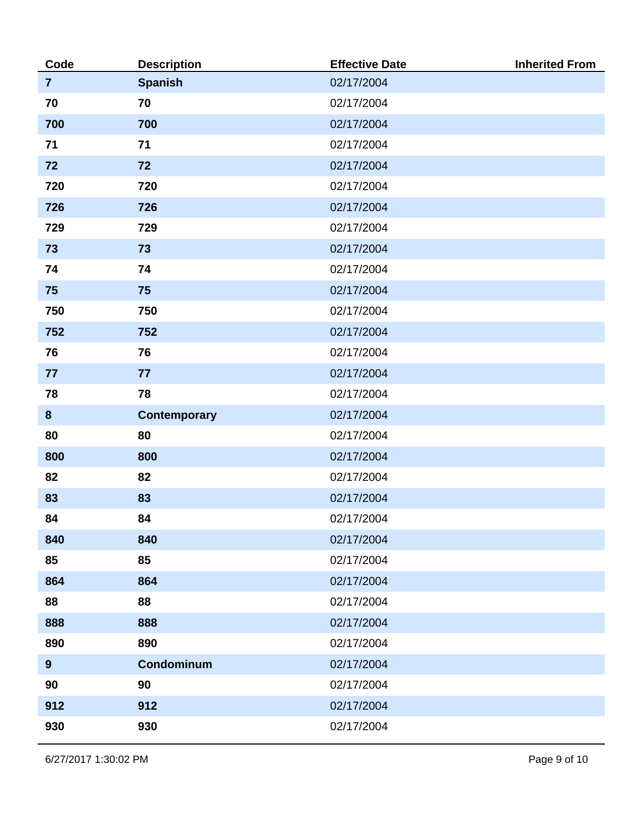| Code             | <b>Description</b> | <b>Effective Date</b> | <b>Inherited From</b> |
|------------------|--------------------|-----------------------|-----------------------|
| $\overline{7}$   | <b>Spanish</b>     | 02/17/2004            |                       |
| 70               | 70                 | 02/17/2004            |                       |
| 700              | 700                | 02/17/2004            |                       |
| 71               | 71                 | 02/17/2004            |                       |
| 72               | 72                 | 02/17/2004            |                       |
| 720              | 720                | 02/17/2004            |                       |
| 726              | 726                | 02/17/2004            |                       |
| 729              | 729                | 02/17/2004            |                       |
| 73               | 73                 | 02/17/2004            |                       |
| 74               | 74                 | 02/17/2004            |                       |
| 75               | 75                 | 02/17/2004            |                       |
| 750              | 750                | 02/17/2004            |                       |
| 752              | 752                | 02/17/2004            |                       |
| 76               | 76                 | 02/17/2004            |                       |
| 77               | 77                 | 02/17/2004            |                       |
| 78               | 78                 | 02/17/2004            |                       |
| $\boldsymbol{8}$ | Contemporary       | 02/17/2004            |                       |
| 80               | 80                 | 02/17/2004            |                       |
| 800              | 800                | 02/17/2004            |                       |
| 82               | 82                 | 02/17/2004            |                       |
| 83               | 83                 | 02/17/2004            |                       |
| 84               | 84                 | 02/17/2004            |                       |
| 840              | 840                | 02/17/2004            |                       |
| 85               | 85                 | 02/17/2004            |                       |
| 864              | 864                | 02/17/2004            |                       |
| 88               | 88                 | 02/17/2004            |                       |
| 888              | 888                | 02/17/2004            |                       |
| 890              | 890                | 02/17/2004            |                       |
| 9                | Condominum         | 02/17/2004            |                       |
| 90               | 90                 | 02/17/2004            |                       |
| 912              | 912                | 02/17/2004            |                       |
| 930              | 930                | 02/17/2004            |                       |